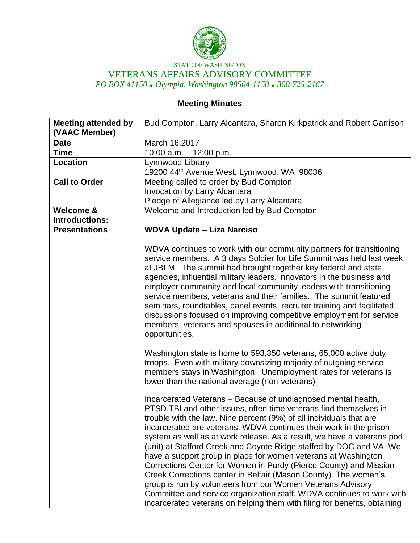

STATE OF WASHINGTON VETERANS AFFAIRS ADVISORY COMMITTEE *PO BOX 41150 Olympia, Washington 98504-1150 360-725-2167*

# **Meeting Minutes**

| <b>Meeting attended by</b> | Bud Compton, Larry Alcantara, Sharon Kirkpatrick and Robert Garrison                                                                                                                                                                                                                                                                                                                                                                                                                                                                                                                                                                                                                                                                                                                            |
|----------------------------|-------------------------------------------------------------------------------------------------------------------------------------------------------------------------------------------------------------------------------------------------------------------------------------------------------------------------------------------------------------------------------------------------------------------------------------------------------------------------------------------------------------------------------------------------------------------------------------------------------------------------------------------------------------------------------------------------------------------------------------------------------------------------------------------------|
| (VAAC Member)              |                                                                                                                                                                                                                                                                                                                                                                                                                                                                                                                                                                                                                                                                                                                                                                                                 |
| <b>Date</b>                | March 16,2017                                                                                                                                                                                                                                                                                                                                                                                                                                                                                                                                                                                                                                                                                                                                                                                   |
| <b>Time</b>                | 10:00 a.m. $-$ 12:00 p.m.                                                                                                                                                                                                                                                                                                                                                                                                                                                                                                                                                                                                                                                                                                                                                                       |
| Location                   | Lynnwood Library                                                                                                                                                                                                                                                                                                                                                                                                                                                                                                                                                                                                                                                                                                                                                                                |
|                            | 19200 44th Avenue West, Lynnwood, WA 98036                                                                                                                                                                                                                                                                                                                                                                                                                                                                                                                                                                                                                                                                                                                                                      |
| <b>Call to Order</b>       | Meeting called to order by Bud Compton                                                                                                                                                                                                                                                                                                                                                                                                                                                                                                                                                                                                                                                                                                                                                          |
|                            | <b>Invocation by Larry Alcantara</b>                                                                                                                                                                                                                                                                                                                                                                                                                                                                                                                                                                                                                                                                                                                                                            |
|                            | Pledge of Allegiance led by Larry Alcantara                                                                                                                                                                                                                                                                                                                                                                                                                                                                                                                                                                                                                                                                                                                                                     |
| <b>Welcome &amp;</b>       | Welcome and Introduction led by Bud Compton                                                                                                                                                                                                                                                                                                                                                                                                                                                                                                                                                                                                                                                                                                                                                     |
| <b>Introductions:</b>      |                                                                                                                                                                                                                                                                                                                                                                                                                                                                                                                                                                                                                                                                                                                                                                                                 |
| <b>Presentations</b>       | <b>WDVA Update - Liza Narciso</b>                                                                                                                                                                                                                                                                                                                                                                                                                                                                                                                                                                                                                                                                                                                                                               |
|                            | WDVA continues to work with our community partners for transitioning<br>service members. A 3 days Soldier for Life Summit was held last week<br>at JBLM. The summit had brought together key federal and state<br>agencies, influential military leaders, innovators in the business and<br>employer community and local community leaders with transitioning<br>service members, veterans and their families. The summit featured<br>seminars, roundtables, panel events, recruiter training and facilitated<br>discussions focused on improving competitive employment for service<br>members, veterans and spouses in additional to networking<br>opportunities.                                                                                                                             |
|                            | Washington state is home to 593,350 veterans, 65,000 active duty<br>troops. Even with military downsizing majority of outgoing service<br>members stays in Washington. Unemployment rates for veterans is<br>lower than the national average (non-veterans)<br>Incarcerated Veterans - Because of undiagnosed mental health,                                                                                                                                                                                                                                                                                                                                                                                                                                                                    |
|                            | PTSD, TBI and other issues, often time veterans find themselves in<br>trouble with the law. Nine percent (9%) of all individuals that are<br>incarcerated are veterans. WDVA continues their work in the prison<br>system as well as at work release. As a result, we have a veterans pod<br>(unit) at Stafford Creek and Coyote Ridge staffed by DOC and VA. We<br>have a support group in place for women veterans at Washington<br>Corrections Center for Women in Purdy (Pierce County) and Mission<br>Creek Corrections center in Belfair (Mason County). The women's<br>group is run by volunteers from our Women Veterans Advisory<br>Committee and service organization staff. WDVA continues to work with<br>incarcerated veterans on helping them with filing for benefits, obtaining |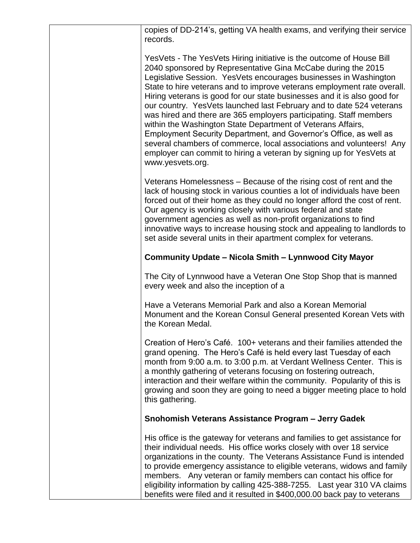| copies of DD-214's, getting VA health exams, and verifying their service<br>records.                                                                                                                                                                                                                                                                                                                                                                                                                                                                                                                                                                                                                                                                                                                                   |
|------------------------------------------------------------------------------------------------------------------------------------------------------------------------------------------------------------------------------------------------------------------------------------------------------------------------------------------------------------------------------------------------------------------------------------------------------------------------------------------------------------------------------------------------------------------------------------------------------------------------------------------------------------------------------------------------------------------------------------------------------------------------------------------------------------------------|
| YesVets - The YesVets Hiring initiative is the outcome of House Bill<br>2040 sponsored by Representative Gina McCabe during the 2015<br>Legislative Session. YesVets encourages businesses in Washington<br>State to hire veterans and to improve veterans employment rate overall.<br>Hiring veterans is good for our state businesses and it is also good for<br>our country. Yes Vets launched last February and to date 524 veterans<br>was hired and there are 365 employers participating. Staff members<br>within the Washington State Department of Veterans Affairs,<br>Employment Security Department, and Governor's Office, as well as<br>several chambers of commerce, local associations and volunteers! Any<br>employer can commit to hiring a veteran by signing up for YesVets at<br>www.yesvets.org. |
| Veterans Homelessness – Because of the rising cost of rent and the<br>lack of housing stock in various counties a lot of individuals have been<br>forced out of their home as they could no longer afford the cost of rent.<br>Our agency is working closely with various federal and state<br>government agencies as well as non-profit organizations to find<br>innovative ways to increase housing stock and appealing to landlords to<br>set aside several units in their apartment complex for veterans.                                                                                                                                                                                                                                                                                                          |
| <b>Community Update - Nicola Smith - Lynnwood City Mayor</b>                                                                                                                                                                                                                                                                                                                                                                                                                                                                                                                                                                                                                                                                                                                                                           |
| The City of Lynnwood have a Veteran One Stop Shop that is manned<br>every week and also the inception of a                                                                                                                                                                                                                                                                                                                                                                                                                                                                                                                                                                                                                                                                                                             |
| Have a Veterans Memorial Park and also a Korean Memorial<br>Monument and the Korean Consul General presented Korean Vets with<br>the Korean Medal.                                                                                                                                                                                                                                                                                                                                                                                                                                                                                                                                                                                                                                                                     |
| Creation of Hero's Café. 100+ veterans and their families attended the<br>grand opening. The Hero's Café is held every last Tuesday of each<br>month from 9:00 a.m. to 3:00 p.m. at Verdant Wellness Center. This is<br>a monthly gathering of veterans focusing on fostering outreach,<br>interaction and their welfare within the community. Popularity of this is<br>growing and soon they are going to need a bigger meeting place to hold<br>this gathering.                                                                                                                                                                                                                                                                                                                                                      |
| Snohomish Veterans Assistance Program - Jerry Gadek                                                                                                                                                                                                                                                                                                                                                                                                                                                                                                                                                                                                                                                                                                                                                                    |
| His office is the gateway for veterans and families to get assistance for<br>their individual needs. His office works closely with over 18 service<br>organizations in the county. The Veterans Assistance Fund is intended<br>to provide emergency assistance to eligible veterans, widows and family<br>members. Any veteran or family members can contact his office for<br>eligibility information by calling 425-388-7255. Last year 310 VA claims<br>benefits were filed and it resulted in \$400,000.00 back pay to veterans                                                                                                                                                                                                                                                                                    |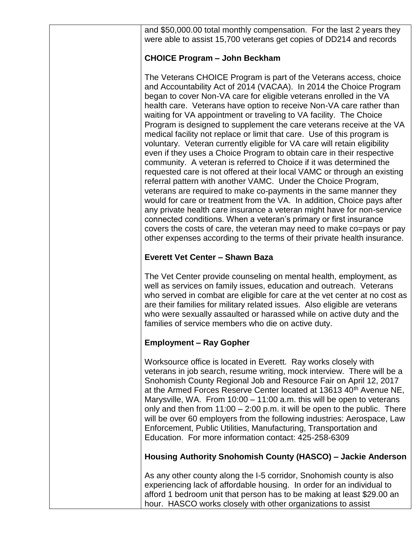and \$50,000.00 total monthly compensation. For the last 2 years they were able to assist 15,700 veterans get copies of DD214 and records

### **CHOICE Program – John Beckham**

The Veterans CHOICE Program is part of the Veterans access, choice and Accountability Act of 2014 (VACAA). In 2014 the Choice Program began to cover Non-VA care for eligible veterans enrolled in the VA health care. Veterans have option to receive Non-VA care rather than waiting for VA appointment or traveling to VA facility. The Choice Program is designed to supplement the care veterans receive at the VA medical facility not replace or limit that care. Use of this program is voluntary. Veteran currently eligible for VA care will retain eligibility even if they uses a Choice Program to obtain care in their respective community. A veteran is referred to Choice if it was determined the requested care is not offered at their local VAMC or through an existing referral pattern with another VAMC. Under the Choice Program, veterans are required to make co-payments in the same manner they would for care or treatment from the VA. In addition, Choice pays after any private health care insurance a veteran might have for non-service connected conditions. When a veteran's primary or first insurance covers the costs of care, the veteran may need to make co=pays or pay other expenses according to the terms of their private health insurance.

#### **Everett Vet Center – Shawn Baza**

The Vet Center provide counseling on mental health, employment, as well as services on family issues, education and outreach. Veterans who served in combat are eligible for care at the vet center at no cost as are their families for military related issues. Also eligible are veterans who were sexually assaulted or harassed while on active duty and the families of service members who die on active duty.

#### **Employment – Ray Gopher**

Worksource office is located in Everett. Ray works closely with veterans in job search, resume writing, mock interview. There will be a Snohomish County Regional Job and Resource Fair on April 12, 2017 at the Armed Forces Reserve Center located at 13613 40th Avenue NE, Marysville, WA. From 10:00 – 11:00 a.m. this will be open to veterans only and then from  $11:00 - 2:00$  p.m. it will be open to the public. There will be over 60 employers from the following industries: Aerospace, Law Enforcement, Public Utilities, Manufacturing, Transportation and Education. For more information contact: 425-258-6309

#### **Housing Authority Snohomish County (HASCO) – Jackie Anderson**

As any other county along the I-5 corridor, Snohomish county is also experiencing lack of affordable housing. In order for an individual to afford 1 bedroom unit that person has to be making at least \$29.00 an hour. HASCO works closely with other organizations to assist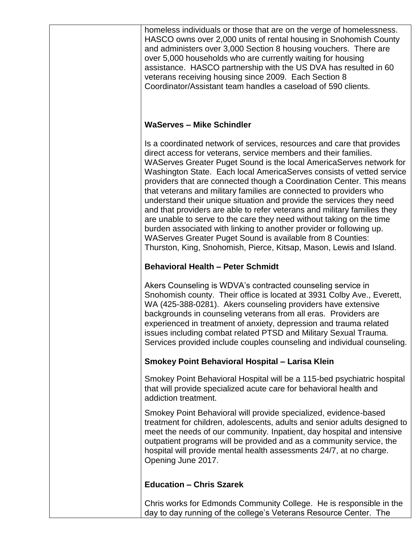homeless individuals or those that are on the verge of homelessness. HASCO owns over 2,000 units of rental housing in Snohomish County and administers over 3,000 Section 8 housing vouchers. There are over 5,000 households who are currently waiting for housing assistance. HASCO partnership with the US DVA has resulted in 60 veterans receiving housing since 2009. Each Section 8 Coordinator/Assistant team handles a caseload of 590 clients.

#### **WaServes – Mike Schindler**

Is a coordinated network of services, resources and care that provides direct access for veterans, service members and their families. WAServes Greater Puget Sound is the local AmericaServes network for Washington State. Each local AmericaServes consists of vetted service providers that are connected though a Coordination Center. This means that veterans and military families are connected to providers who understand their unique situation and provide the services they need and that providers are able to refer veterans and military families they are unable to serve to the care they need without taking on the time burden associated with linking to another provider or following up. WAServes Greater Puget Sound is available from 8 Counties: Thurston, King, Snohomish, Pierce, Kitsap, Mason, Lewis and Island.

#### **Behavioral Health – Peter Schmidt**

Akers Counseling is WDVA's contracted counseling service in Snohomish county. Their office is located at 3931 Colby Ave., Everett, WA (425-388-0281). Akers counseling providers have extensive backgrounds in counseling veterans from all eras. Providers are experienced in treatment of anxiety, depression and trauma related issues including combat related PTSD and Military Sexual Trauma. Services provided include couples counseling and individual counseling.

## **Smokey Point Behavioral Hospital – Larisa Klein**

Smokey Point Behavioral Hospital will be a 115-bed psychiatric hospital that will provide specialized acute care for behavioral health and addiction treatment.

Smokey Point Behavioral will provide specialized, evidence-based treatment for children, adolescents, adults and senior adults designed to meet the needs of our community. Inpatient, day hospital and intensive outpatient programs will be provided and as a community service, the hospital will provide mental health assessments 24/7, at no charge. Opening June 2017.

#### **Education – Chris Szarek**

Chris works for Edmonds Community College. He is responsible in the day to day running of the college's Veterans Resource Center. The